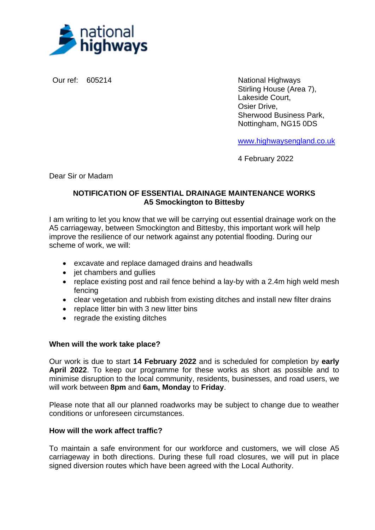

Our ref: 605214 National Highways Stirling House (Area 7), Lakeside Court, Osier Drive, Sherwood Business Park, Nottingham, NG15 0DS

[www.highwaysengland.co.uk](http://www.highwaysengland.co.uk/)

4 February 2022

Dear Sir or Madam

## **NOTIFICATION OF ESSENTIAL DRAINAGE MAINTENANCE WORKS A5 Smockington to Bittesby**

I am writing to let you know that we will be carrying out essential drainage work on the A5 carriageway, between Smockington and Bittesby, this important work will help improve the resilience of our network against any potential flooding. During our scheme of work, we will:

- excavate and replace damaged drains and headwalls
- jet chambers and gullies
- replace existing post and rail fence behind a lay-by with a 2.4m high weld mesh fencing
- clear vegetation and rubbish from existing ditches and install new filter drains
- replace litter bin with 3 new litter bins
- regrade the existing ditches

## **When will the work take place?**

Our work is due to start **14 February 2022** and is scheduled for completion by **early April 2022**. To keep our programme for these works as short as possible and to minimise disruption to the local community, residents, businesses, and road users, we will work between **8pm** and **6am, Monday** to **Friday**.

Please note that all our planned roadworks may be subject to change due to weather conditions or unforeseen circumstances.

## **How will the work affect traffic?**

To maintain a safe environment for our workforce and customers, we will close A5 carriageway in both directions. During these full road closures, we will put in place signed diversion routes which have been agreed with the Local Authority.